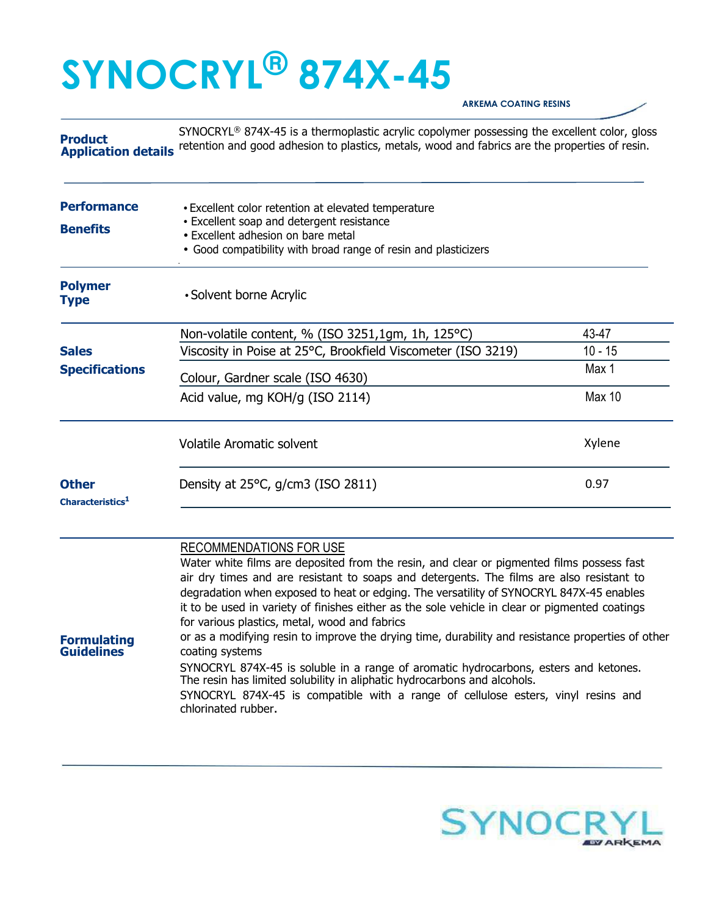## **SYNOCRYL® 874X-45**

## **ARKEMA COATING RESINS**

**Product Application details** retention and good adhesion to plastics, metals, wood and fabrics are the properties of resin. SYNOCRYL® 874X-45 is a thermoplastic acrylic copolymer possessing the excellent color, gloss

| <b>Performance</b><br><b>Benefits</b>        | • Excellent color retention at elevated temperature<br>• Excellent soap and detergent resistance<br>• Excellent adhesion on bare metal<br>• Good compatibility with broad range of resin and plasticizers |               |
|----------------------------------------------|-----------------------------------------------------------------------------------------------------------------------------------------------------------------------------------------------------------|---------------|
| <b>Polymer</b><br>Type                       | • Solvent borne Acrylic                                                                                                                                                                                   |               |
|                                              | Non-volatile content, % (ISO 3251,1gm, 1h, 125°C)                                                                                                                                                         | 43-47         |
| <b>Sales</b>                                 | Viscosity in Poise at 25°C, Brookfield Viscometer (ISO 3219)                                                                                                                                              | $10 - 15$     |
| <b>Specifications</b>                        | Colour, Gardner scale (ISO 4630)                                                                                                                                                                          | Max 1         |
|                                              | Acid value, mg KOH/g (ISO 2114)                                                                                                                                                                           | <b>Max 10</b> |
|                                              | <b>Volatile Aromatic solvent</b>                                                                                                                                                                          | Xylene        |
| <b>Other</b><br>Characteristics <sup>1</sup> | Density at $25^{\circ}$ C, $q/cm3$ (ISO 2811)                                                                                                                                                             | 0.97          |

## RECOMMENDATIONS FOR USE

Water white films are deposited from the resin, and clear or pigmented films possess fast air dry times and are resistant to soaps and detergents. The films are also resistant to degradation when exposed to heat or edging. The versatility of SYNOCRYL 847X-45 enables it to be used in variety of finishes either as the sole vehicle in clear or pigmented coatings for various plastics, metal, wood and fabrics **Formulating Guidelines**  or as a modifying resin to improve the drying time, durability and resistance properties of other coating systems SYNOCRYL 874X-45 is soluble in a range of aromatic hydrocarbons, esters and ketones. The resin has limited solubility in aliphatic hydrocarbons and alcohols. SYNOCRYL 874X-45 is compatible with a range of cellulose esters, vinyl resins and chlorinated rubber.